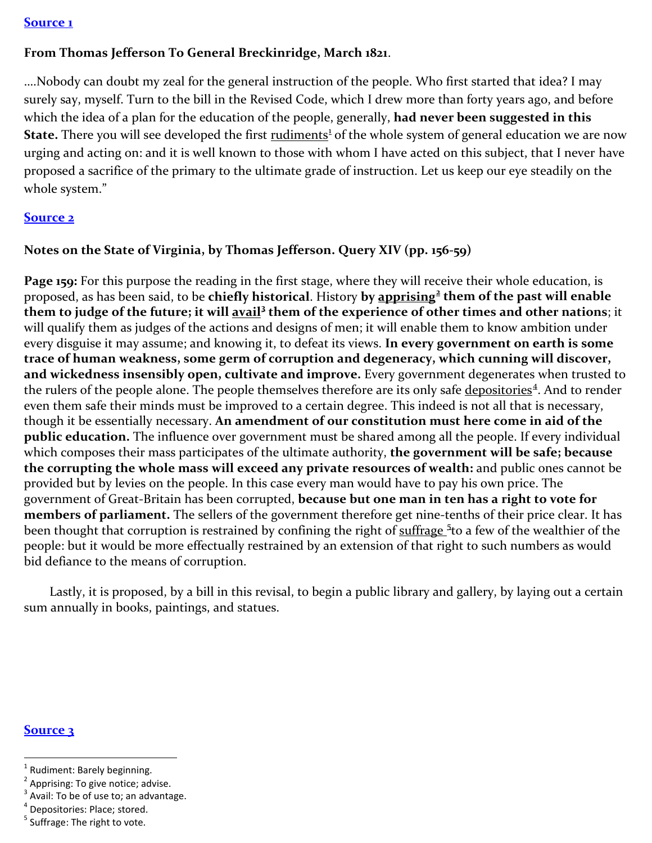#### **[Source 1](https://books.google.com/books?id=ZTIoAAAAYAAJ&pg=PA278&lpg=PA278&dq=nobody+can+doubt+my+zeal+for+the+general+instruction+of+the+people&source=bl&ots=vbmjlVd9TZ&sig=d5rfqNUWAwCgc7joB3w1YZDK5wQ&hl=en&sa=X&ved=0ahUKEwizuequv5HOAhXI7D4KHcVWBEQQ6AEIIjAD#v=onepage&q=nobody%20can%20doubt%20my%20zeal%20for%20the%20general%20instruction%20of%20the%20people&f=false)**

# **From Thomas Jefferson To General Breckinridge, March 1821**.

….Nobody can doubt my zeal for the general instruction of the people. Who first started that idea? I may surely say, myself. Turn to the bill in the Revised Code, which I drew more than forty years ago, and before which the idea of a plan for the education of the people, generally, **had never been suggested in this State.** There you will see developed the first rudiments<sup>[1](#page-0-0)</sup> of the whole system of general education we are now urging and acting on: and it is well known to those with whom I have acted on this subject, that I never have proposed a sacrifice of the primary to the ultimate grade of instruction. Let us keep our eye steadily on the whole system."

### **[Source 2](http://docsouth.unc.edu/southlit/jefferson/jefferson.html#p156)**

## **Notes on the State of Virginia, by Thomas Jefferson. Query XIV (pp. 156-59)**

**Page 159:** For this purpose the reading in the first stage, where they will receive their whole education, is proposed, as has been said, to be **chiefly historical**. History **by apprising[2](#page-0-1) them of the past will enable them to judge of the future; it will avail[3](#page-0-2) them of the experience of other times and other nations**; it will qualify them as judges of the actions and designs of men; it will enable them to know ambition under every disguise it may assume; and knowing it, to defeat its views. **In every government on earth is some trace of human weakness, some germ of corruption and degeneracy, which cunning will discover, and wickedness insensibly open, cultivate and improve.** Every government degenerates when trusted to the rulers of the people alone. The people themselves therefore are its only safe depositories<sup>[4](#page-0-3)</sup>. And to render even them safe their minds must be improved to a certain degree. This indeed is not all that is necessary, though it be essentially necessary. **An amendment of our constitution must here come in aid of the public education.** The influence over government must be shared among all the people. If every individual which composes their mass participates of the ultimate authority, **the government will be safe; because the corrupting the whole mass will exceed any private resources of wealth:** and public ones cannot be provided but by levies on the people. In this case every man would have to pay his own price. The government of Great-Britain has been corrupted, **because but one man in ten has a right to vote for members of parliament.** The sellers of the government therefore get nine-tenths of their price clear. It has been thought that corruption is restrained by confining the right of suffrage <sup>[5](#page-0-4)</sup> to a few of the wealthier of the people: but it would be more effectually restrained by an extension of that right to such numbers as would bid defiance to the means of corruption.

 Lastly, it is proposed, by a bill in this revisal, to begin a public library and gallery, by laying out a certain sum annually in books, paintings, and statues.

#### **[Source 3](http://founders.archives.gov/?q=ignorance%20Author%3A%22Jefferson%2C%20Thomas%22%20Recipient%3A%22Wythe%2C%20George%22&s=1111311111&sa=&r=1&sr=wyt)**

<span id="page-0-0"></span> $1$  Rudiment: Barely beginning.

<span id="page-0-1"></span> $2$  Apprising: To give notice; advise.

<span id="page-0-2"></span><sup>&</sup>lt;sup>3</sup> Avail: To be of use to; an advantage.

<span id="page-0-3"></span><sup>4</sup> Depositories: Place; stored.

<span id="page-0-4"></span> $<sup>5</sup>$  Suffrage: The right to vote.</sup>